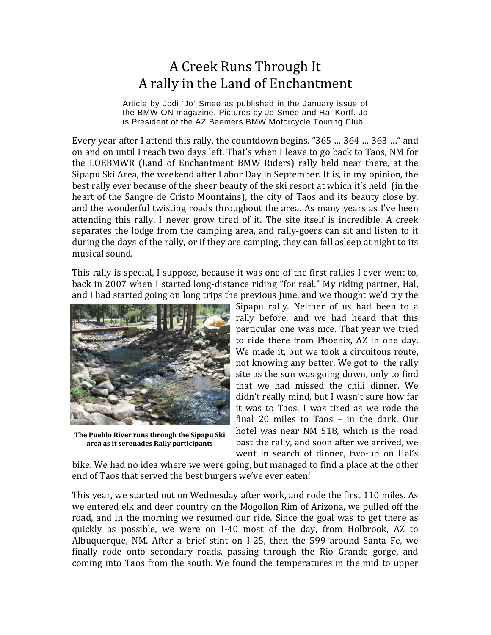## A Creek Runs Through It A rally in the Land of Enchantment

Article by Jodi 'Jo' Smee as published in the January issue of the BMW ON magazine. Pictures by Jo Smee and Hal Korff. Jo is President of the AZ Beemers BMW Motorcycle Touring Club.

Every year after I attend this rally, the countdown begins. "365 ... 364 ... 363 ..." and on and on until I reach two days left. That's when I leave to go back to Taos, NM for the LOEBMWR (Land of Enchantment BMW Riders) rally held near there, at the Sipapu Ski Area, the weekend after Labor Day in September. It is, in my opinion, the best rally ever because of the sheer beauty of the ski resort at which it's held (in the heart of the Sangre de Cristo Mountains), the city of Taos and its beauty close by, and the wonderful twisting roads throughout the area. As many years as I've been attending this rally, I never grow tired of it. The site itself is incredible. A creek separates the lodge from the camping area, and rally-goers can sit and listen to it during the days of the rally, or if they are camping, they can fall asleep at night to its musical sound.

This rally is special, I suppose, because it was one of the first rallies I ever went to, back in 2007 when I started long-distance riding "for real." My riding partner, Hal, and I had started going on long trips the previous June, and we thought we'd try the



**The Pueblo River runs through the Sipapu Ski area as it serenades Rally participants**

Sipapu rally. Neither of us had been to a rally before, and we had heard that this particular one was nice. That year we tried to ride there from Phoenix, AZ in one day. We made it, but we took a circuitous route, not knowing any better. We got to the rally site as the sun was going down, only to find that we had missed the chili dinner. We didn't really mind, but I wasn't sure how far it was to Taos. I was tired as we rode the final  $20$  miles to Taos – in the dark. Our hotel was near NM 518, which is the road past the rally, and soon after we arrived, we went in search of dinner, two-up on Hal's

bike. We had no idea where we were going, but managed to find a place at the other end of Taos that served the best burgers we've ever eaten!

This year, we started out on Wednesday after work, and rode the first 110 miles. As we entered elk and deer country on the Mogollon Rim of Arizona, we pulled off the road, and in the morning we resumed our ride. Since the goal was to get there as quickly as possible, we were on I-40 most of the day, from Holbrook, AZ to Albuquerque, NM. After a brief stint on I-25, then the 599 around Santa Fe, we finally rode onto secondary roads, passing through the Rio Grande gorge, and coming into Taos from the south. We found the temperatures in the mid to upper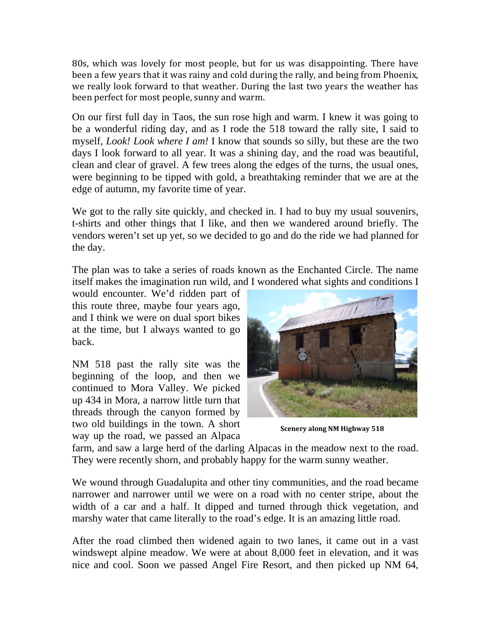80s, which was lovely for most people, but for us was disappointing. There have been a few years that it was rainy and cold during the rally, and being from Phoenix, we really look forward to that weather. During the last two years the weather has been perfect for most people, sunny and warm.

On our first full day in Taos, the sun rose high and warm. I knew it was going to be a wonderful riding day, and as I rode the 518 toward the rally site, I said to myself, *Look! Look where I am!* I know that sounds so silly, but these are the two days I look forward to all year. It was a shining day, and the road was beautiful, clean and clear of gravel. A few trees along the edges of the turns, the usual ones, were beginning to be tipped with gold, a breathtaking reminder that we are at the edge of autumn, my favorite time of year.

We got to the rally site quickly, and checked in. I had to buy my usual souvenirs, t-shirts and other things that I like, and then we wandered around briefly. The vendors weren't set up yet, so we decided to go and do the ride we had planned for the day.

The plan was to take a series of roads known as the Enchanted Circle. The name itself makes the imagination run wild, and I wondered what sights and conditions I

would encounter. We'd ridden part of this route three, maybe four years ago, and I think we were on dual sport bikes at the time, but I always wanted to go back.

NM 518 past the rally site was the beginning of the loop, and then we continued to Mora Valley. We picked up 434 in Mora, a narrow little turn that threads through the canyon formed by two old buildings in the town. A short way up the road, we passed an Alpaca



**Scenery along NM Highway 518**

farm, and saw a large herd of the darling Alpacas in the meadow next to the road. They were recently shorn, and probably happy for the warm sunny weather.

We wound through Guadalupita and other tiny communities, and the road became narrower and narrower until we were on a road with no center stripe, about the width of a car and a half. It dipped and turned through thick vegetation, and marshy water that came literally to the road's edge. It is an amazing little road.

After the road climbed then widened again to two lanes, it came out in a vast windswept alpine meadow. We were at about 8,000 feet in elevation, and it was nice and cool. Soon we passed Angel Fire Resort, and then picked up NM 64,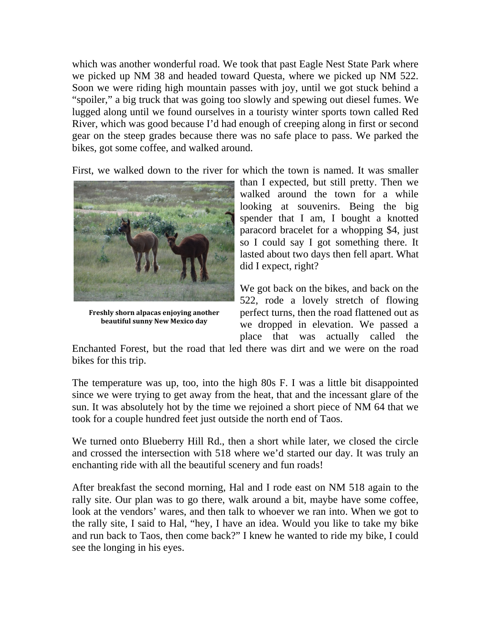which was another wonderful road. We took that past Eagle Nest State Park where we picked up NM 38 and headed toward Questa, where we picked up NM 522. Soon we were riding high mountain passes with joy, until we got stuck behind a "spoiler," a big truck that was going too slowly and spewing out diesel fumes. We lugged along until we found ourselves in a touristy winter sports town called Red River, which was good because I'd had enough of creeping along in first or second gear on the steep grades because there was no safe place to pass. We parked the bikes, got some coffee, and walked around.

First, we walked down to the river for which the town is named. It was smaller



**Freshly shorn alpacas enjoying another beautiful sunny New Mexico day**

than I expected, but still pretty. Then we walked around the town for a while looking at souvenirs. Being the big spender that I am, I bought a knotted paracord bracelet for a whopping \$4, just so I could say I got something there. It lasted about two days then fell apart. What did I expect, right?

We got back on the bikes, and back on the 522, rode a lovely stretch of flowing perfect turns, then the road flattened out as we dropped in elevation. We passed a place that was actually called the

Enchanted Forest, but the road that led there was dirt and we were on the road bikes for this trip.

The temperature was up, too, into the high 80s F. I was a little bit disappointed since we were trying to get away from the heat, that and the incessant glare of the sun. It was absolutely hot by the time we rejoined a short piece of NM 64 that we took for a couple hundred feet just outside the north end of Taos.

We turned onto Blueberry Hill Rd., then a short while later, we closed the circle and crossed the intersection with 518 where we'd started our day. It was truly an enchanting ride with all the beautiful scenery and fun roads!

After breakfast the second morning, Hal and I rode east on NM 518 again to the rally site. Our plan was to go there, walk around a bit, maybe have some coffee, look at the vendors' wares, and then talk to whoever we ran into. When we got to the rally site, I said to Hal, "hey, I have an idea. Would you like to take my bike and run back to Taos, then come back?" I knew he wanted to ride my bike, I could see the longing in his eyes.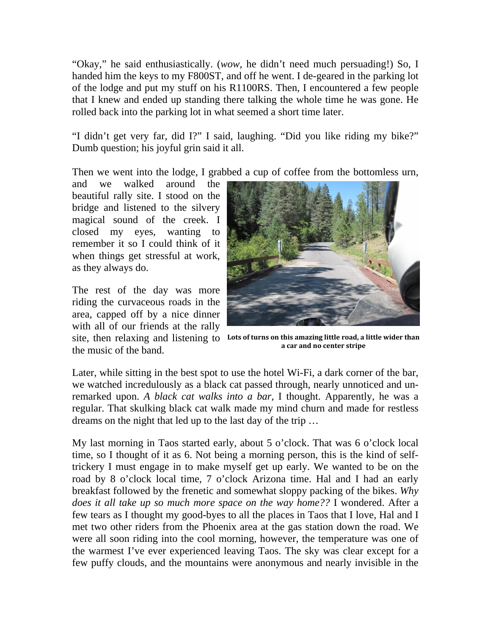"Okay," he said enthusiastically. (*wow,* he didn't need much persuading!) So, I handed him the keys to my F800ST, and off he went. I de-geared in the parking lot of the lodge and put my stuff on his R1100RS. Then, I encountered a few people that I knew and ended up standing there talking the whole time he was gone. He rolled back into the parking lot in what seemed a short time later.

"I didn't get very far, did I?" I said, laughing. "Did you like riding my bike?" Dumb question; his joyful grin said it all.

Then we went into the lodge, I grabbed a cup of coffee from the bottomless urn,

and we walked around the beautiful rally site. I stood on the bridge and listened to the silvery magical sound of the creek. I closed my eyes, wanting to remember it so I could think of it when things get stressful at work, as they always do.

The rest of the day was more riding the curvaceous roads in the area, capped off by a nice dinner with all of our friends at the rally the music of the band.



site, then relaxing and listening to **Lots of turns on this amazing little road, a little wider than a car and no center stripe**

Later, while sitting in the best spot to use the hotel Wi-Fi, a dark corner of the bar, we watched incredulously as a black cat passed through, nearly unnoticed and unremarked upon. *A black cat walks into a bar,* I thought. Apparently, he was a regular. That skulking black cat walk made my mind churn and made for restless dreams on the night that led up to the last day of the trip …

My last morning in Taos started early, about 5 o'clock. That was 6 o'clock local time, so I thought of it as 6. Not being a morning person, this is the kind of selftrickery I must engage in to make myself get up early. We wanted to be on the road by 8 o'clock local time, 7 o'clock Arizona time. Hal and I had an early breakfast followed by the frenetic and somewhat sloppy packing of the bikes. *Why does it all take up so much more space on the way home??* I wondered. After a few tears as I thought my good-byes to all the places in Taos that I love, Hal and I met two other riders from the Phoenix area at the gas station down the road. We were all soon riding into the cool morning, however, the temperature was one of the warmest I've ever experienced leaving Taos. The sky was clear except for a few puffy clouds, and the mountains were anonymous and nearly invisible in the